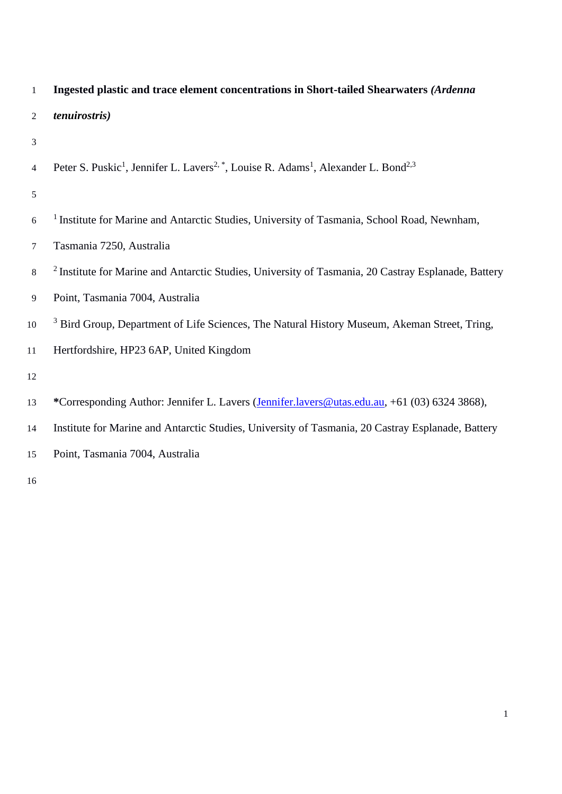|   | Ingested plastic and trace element concentrations in Short-tailed Shearwaters (Ardenna |
|---|----------------------------------------------------------------------------------------|
| 2 | <i>tenuirostris</i> )                                                                  |
|   |                                                                                        |

4 Peter S. Puskic<sup>1</sup>, Jennifer L. Lavers<sup>2, \*</sup>, Louise R. Adams<sup>1</sup>, Alexander L. Bond<sup>2,3</sup>

## 

- <sup>6</sup> <sup>1</sup> Institute for Marine and Antarctic Studies, University of Tasmania, School Road, Newnham,
- Tasmania 7250, Australia
- <sup>2</sup> Institute for Marine and Antarctic Studies, University of Tasmania, 20 Castray Esplanade, Battery
- Point, Tasmania 7004, Australia
- <sup>3</sup> Bird Group, Department of Life Sciences, The Natural History Museum, Akeman Street, Tring,
- Hertfordshire, HP23 6AP, United Kingdom
- 
- **\***Corresponding Author: Jennifer L. Lavers [\(Jennifer.lavers@utas.edu.au,](mailto:Jennifer.lavers@utas.edu.au) +61 (03) 6324 3868),
- Institute for Marine and Antarctic Studies, University of Tasmania, 20 Castray Esplanade, Battery
- Point, Tasmania 7004, Australia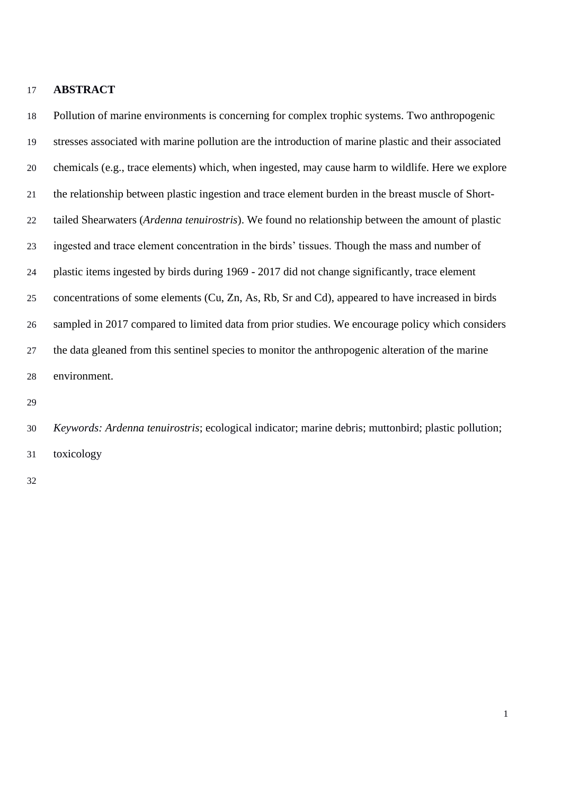### **ABSTRACT**

 Pollution of marine environments is concerning for complex trophic systems. Two anthropogenic stresses associated with marine pollution are the introduction of marine plastic and their associated chemicals (e.g., trace elements) which, when ingested, may cause harm to wildlife. Here we explore the relationship between plastic ingestion and trace element burden in the breast muscle of Short- tailed Shearwaters (*Ardenna tenuirostris*). We found no relationship between the amount of plastic ingested and trace element concentration in the birds' tissues. Though the mass and number of plastic items ingested by birds during 1969 - 2017 did not change significantly, trace element concentrations of some elements (Cu, Zn, As, Rb, Sr and Cd), appeared to have increased in birds sampled in 2017 compared to limited data from prior studies. We encourage policy which considers the data gleaned from this sentinel species to monitor the anthropogenic alteration of the marine environment.

 *Keywords: Ardenna tenuirostris*; ecological indicator; marine debris; muttonbird; plastic pollution; toxicology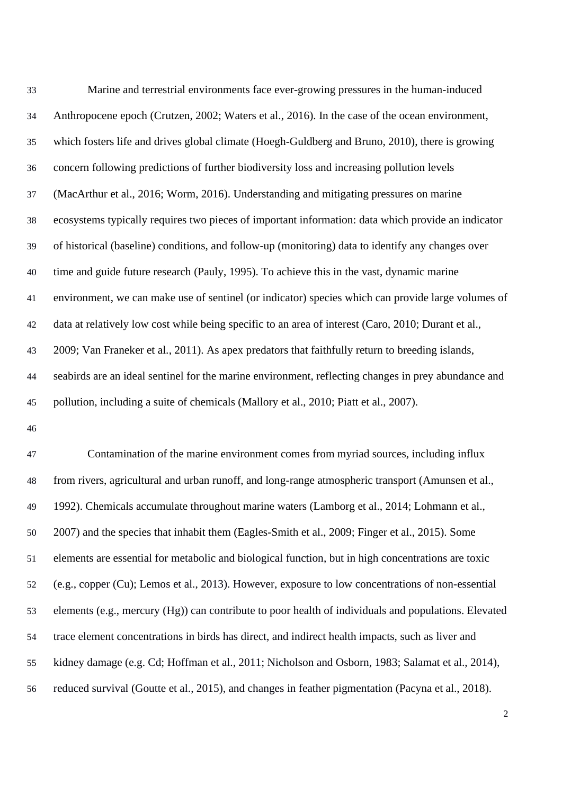Marine and terrestrial environments face ever-growing pressures in the human-induced Anthropocene epoch [\(Crutzen, 2002;](#page-13-0) [Waters et al., 2016\)](#page-18-0). In the case of the ocean environment, which fosters life and drives global climate [\(Hoegh-Guldberg and Bruno, 2010\)](#page-14-0), there is growing concern following predictions of further biodiversity loss and increasing pollution levels [\(MacArthur et al., 2016;](#page-15-0) [Worm, 2016\)](#page-19-0). Understanding and mitigating pressures on marine ecosystems typically requires two pieces of important information: data which provide an indicator of historical (baseline) conditions, and follow-up (monitoring) data to identify any changes over time and guide future research [\(Pauly, 1995\)](#page-16-0). To achieve this in the vast, dynamic marine environment, we can make use of sentinel (or indicator) species which can provide large volumes of data at relatively low cost while being specific to an area of interest [\(Caro, 2010;](#page-12-0) [Durant et al.,](#page-13-1)  [2009;](#page-13-1) [Van Franeker et al., 2011\)](#page-18-1). As apex predators that faithfully return to breeding islands, seabirds are an ideal sentinel for the marine environment, reflecting changes in prey abundance and pollution, including a suite of chemicals [\(Mallory et al., 2010;](#page-15-1) [Piatt et al., 2007\)](#page-16-1).

 Contamination of the marine environment comes from myriad sources, including influx from rivers, agricultural and urban runoff, and long-range atmospheric transport [\(Amunsen et al.,](#page-11-0)  [1992\)](#page-11-0). Chemicals accumulate throughout marine waters [\(Lamborg et al., 2014;](#page-14-1) [Lohmann et al.,](#page-15-2)  [2007\)](#page-15-2) and the species that inhabit them [\(Eagles-Smith et al., 2009;](#page-13-2) [Finger et al., 2015\)](#page-13-3). Some elements are essential for metabolic and biological function, but in high concentrations are toxic [\(e.g., copper \(Cu\); Lemos et al., 2013\)](#page-15-3). However, exposure to low concentrations of non-essential elements (e.g., mercury (Hg)) can contribute to poor health of individuals and populations. Elevated trace element concentrations in birds has direct, and indirect health impacts, such as liver and kidney damage (e.g. Cd; [Hoffman et al., 2011;](#page-14-2) [Nicholson and Osborn, 1983;](#page-16-2) [Salamat et al., 2014\)](#page-17-0), reduced survival [\(Goutte et al., 2015\)](#page-14-3), and changes in feather pigmentation [\(Pacyna et al., 2018\)](#page-16-3).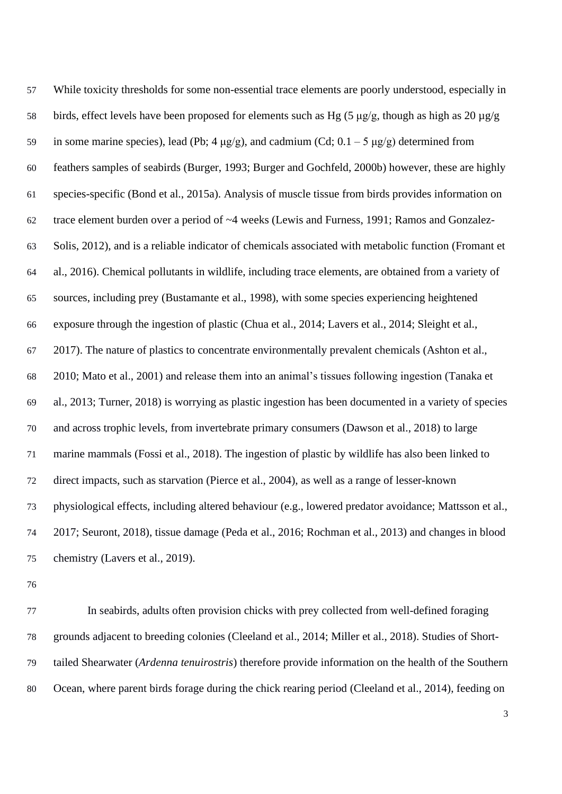While toxicity thresholds for some non-essential trace elements are poorly understood, especially in 58 birds, effect levels have been proposed for elements such as Hg (5  $\mu$ g/g, though as high as 20  $\mu$ g/g 59 in some marine species), lead (Pb;  $4 \mu g/g$ ), and cadmium (Cd;  $0.1 - 5 \mu g/g$ ) determined from feathers samples of seabirds [\(Burger, 1993;](#page-12-1) [Burger and Gochfeld, 2000b\)](#page-12-2) however, these are highly species-specific [\(Bond et al., 2015a\)](#page-11-1). Analysis of muscle tissue from birds provides information on trace element burden over a period of ~4 weeks [\(Lewis and Furness, 1991;](#page-15-4) [Ramos and Gonzalez-](#page-17-1) [Solis, 2012\)](#page-17-1), and is a reliable indicator of chemicals associated with metabolic function [\(Fromant et](#page-13-4)  [al., 2016\)](#page-13-4). Chemical pollutants in wildlife, including trace elements, are obtained from a variety of sources, including prey [\(Bustamante et al., 1998\)](#page-12-3), with some species experiencing heightened exposure through the ingestion of plastic [\(Chua et al., 2014;](#page-12-4) [Lavers et al., 2014;](#page-15-5) [Sleight et al.,](#page-18-2)  [2017\)](#page-18-2). The nature of plastics to concentrate environmentally prevalent chemicals [\(Ashton et al.,](#page-11-2)  [2010;](#page-11-2) [Mato et al., 2001\)](#page-16-4) and release them into an animal's tissues following ingestion [\(Tanaka et](#page-18-3)  [al., 2013;](#page-18-3) [Turner, 2018\)](#page-18-4) is worrying as plastic ingestion has been documented in a variety of species and across trophic levels, from invertebrate primary consumers [\(Dawson et al., 2018\)](#page-13-5) to large marine mammals [\(Fossi et al., 2018\)](#page-13-6). The ingestion of plastic by wildlife has also been linked to direct impacts, such as starvation [\(Pierce et al., 2004\)](#page-17-2), as well as a range of lesser-known physiological effects, including altered behaviour (e.g., lowered predator avoidance; [Mattsson et al.,](#page-16-5)  [2017;](#page-16-5) [Seuront, 2018\)](#page-18-5), tissue damage [\(Peda et al., 2016;](#page-16-6) [Rochman et al., 2013\)](#page-17-3) and changes in blood chemistry [\(Lavers et al., 2019\)](#page-15-6).

 In seabirds, adults often provision chicks with prey collected from well-defined foraging grounds adjacent to breeding colonies [\(Cleeland et al., 2014;](#page-12-5) [Miller et al., 2018\)](#page-16-7). Studies of Short- tailed Shearwater (*Ardenna tenuirostris*) therefore provide information on the health of the Southern Ocean, where parent birds forage during the chick rearing period [\(Cleeland et al., 2014\)](#page-12-5), feeding on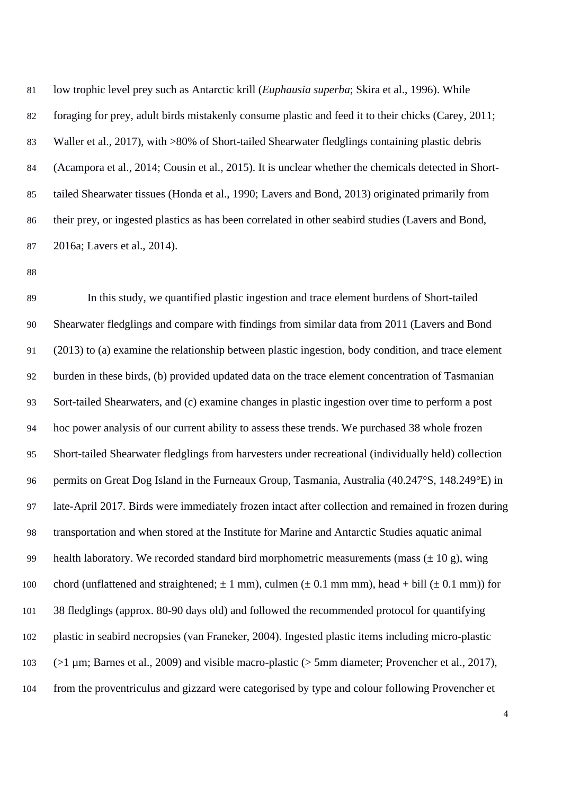low trophic level prey such as Antarctic krill (*[Euphausia superba](#page-18-6)*; Skira et al., 1996). While foraging for prey, adult birds mistakenly consume plastic and feed it to their chicks [\(Carey, 2011;](#page-12-6) [Waller et al., 2017\)](#page-18-7), with >80% of Short-tailed Shearwater fledglings containing plastic debris [\(Acampora et al., 2014;](#page-11-3) [Cousin et al., 2015\)](#page-13-7). It is unclear whether the chemicals detected in Short- tailed Shearwater tissues [\(Honda et al., 1990;](#page-14-4) [Lavers and Bond, 2013\)](#page-15-7) originated primarily from their prey, or ingested plastics as has been correlated in other seabird studies [\(Lavers and Bond,](#page-15-8)  [2016a;](#page-15-8) [Lavers et al., 2014\)](#page-15-5).

 In this study, we quantified plastic ingestion and trace element burdens of Short-tailed Shearwater fledglings and compare with findings from similar data from 2011 [\(Lavers and Bond](#page-15-7)  (2013) to (a) examine the relationship between plastic ingestion, body condition, and trace element burden in these birds, (b) provided updated data on the trace element concentration of Tasmanian Sort-tailed Shearwaters, and (c) examine changes in plastic ingestion over time to perform a post hoc power analysis of our current ability to assess these trends. We purchased 38 whole frozen Short-tailed Shearwater fledglings from harvesters under recreational (individually held) collection permits on Great Dog Island in the Furneaux Group, Tasmania, Australia (40.247°S, 148.249°E) in late-April 2017. Birds were immediately frozen intact after collection and remained in frozen during transportation and when stored at the Institute for Marine and Antarctic Studies aquatic animal 99 health laboratory. We recorded standard bird morphometric measurements (mass  $(\pm 10 \text{ g})$ , wing 100 chord (unflattened and straightened;  $\pm 1$  mm), culmen ( $\pm 0.1$  mm mm), head + bill ( $\pm 0.1$  mm)) for 38 fledglings (approx. 80-90 days old) and followed the recommended protocol for quantifying plastic in seabird necropsies [\(van Franeker, 2004\)](#page-18-8). Ingested plastic items including micro-plastic [\(>1 µm; Barnes et al., 2009\)](#page-11-4) and visible macro-plastic [\(> 5mm diameter; Provencher et al., 2017\)](#page-17-4), from the proventriculus and gizzard were categorised by type and colour following [Provencher et](#page-17-4)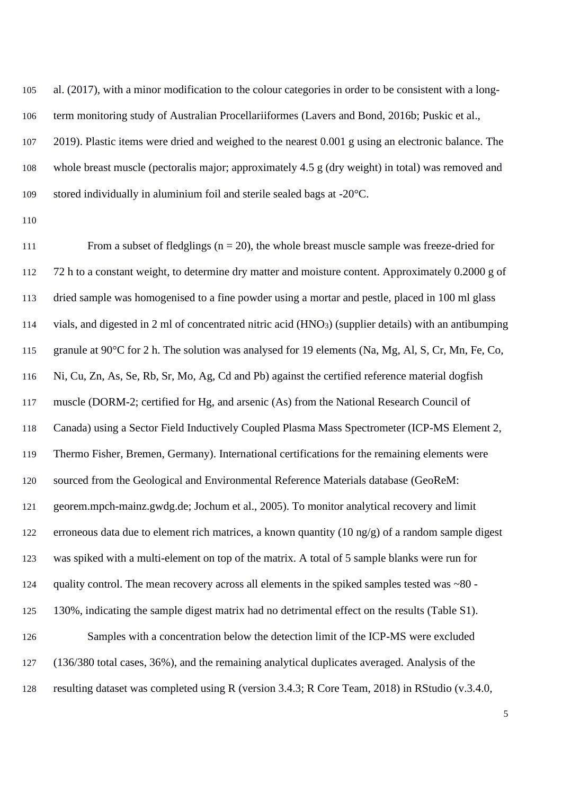al. (2017), with a minor modification to the colour categories in order to be consistent with a long-term monitoring study of Australian Procellariiformes [\(Lavers and Bond, 2016b;](#page-15-9) [Puskic et al.,](#page-17-5) 

 [2019\)](#page-17-5). Plastic items were dried and weighed to the nearest 0.001 g using an electronic balance. The whole breast muscle (pectoralis major; approximately 4.5 g (dry weight) in total) was removed and stored individually in aluminium foil and sterile sealed bags at -20°C.

111 From a subset of fledglings  $(n = 20)$ , the whole breast muscle sample was freeze-dried for 72 h to a constant weight, to determine dry matter and moisture content. Approximately 0.2000 g of dried sample was homogenised to a fine powder using a mortar and pestle, placed in 100 ml glass 114 vials, and digested in 2 ml of concentrated nitric acid (HNO<sub>3</sub>) (supplier details) with an antibumping granule at 90°C for 2 h. The solution was analysed for 19 elements (Na, Mg, Al, S, Cr, Mn, Fe, Co, Ni, Cu, Zn, As, Se, Rb, Sr, Mo, Ag, Cd and Pb) against the certified reference material dogfish muscle (DORM-2; certified for Hg, and arsenic (As) from the National Research Council of Canada) using a Sector Field Inductively Coupled Plasma Mass Spectrometer (ICP-MS Element 2, Thermo Fisher, Bremen, Germany). International certifications for the remaining elements were sourced from the Geological and Environmental Reference Materials database [\(GeoReM:](#page-14-5)  [georem.mpch-mainz.gwdg.de; Jochum et al., 2005\)](#page-14-5). To monitor analytical recovery and limit erroneous data due to element rich matrices, a known quantity (10 ng/g) of a random sample digest was spiked with a multi-element on top of the matrix. A total of 5 sample blanks were run for quality control. The mean recovery across all elements in the spiked samples tested was ~80 - 130%, indicating the sample digest matrix had no detrimental effect on the results (Table S1). Samples with a concentration below the detection limit of the ICP-MS were excluded (136/380 total cases, 36%), and the remaining analytical duplicates averaged. Analysis of the resulting dataset was completed using R [\(version 3.4.3; R Core Team, 2018\)](#page-17-6) in RStudio (v.3.4.0,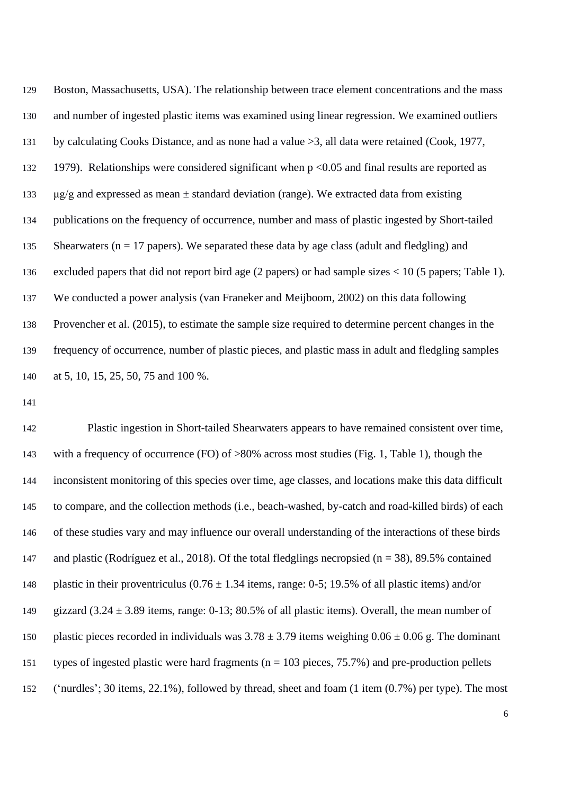| 129 | Boston, Massachusetts, USA). The relationship between trace element concentrations and the mass         |
|-----|---------------------------------------------------------------------------------------------------------|
| 130 | and number of ingested plastic items was examined using linear regression. We examined outliers         |
| 131 | by calculating Cooks Distance, and as none had a value $>3$ , all data were retained (Cook, 1977,       |
| 132 | 1979). Relationships were considered significant when $p < 0.05$ and final results are reported as      |
| 133 | $\mu$ g/g and expressed as mean $\pm$ standard deviation (range). We extracted data from existing       |
| 134 | publications on the frequency of occurrence, number and mass of plastic ingested by Short-tailed        |
| 135 | Shearwaters ( $n = 17$ papers). We separated these data by age class (adult and fledgling) and          |
| 136 | excluded papers that did not report bird age $(2$ papers) or had sample sizes < 10 (5 papers; Table 1). |
| 137 | We conducted a power analysis (van Franeker and Meijboom, 2002) on this data following                  |
| 138 | Provencher et al. (2015), to estimate the sample size required to determine percent changes in the      |
| 139 | frequency of occurrence, number of plastic pieces, and plastic mass in adult and fledgling samples      |
| 140 | at 5, 10, 15, 25, 50, 75 and 100 %.                                                                     |

 Plastic ingestion in Short-tailed Shearwaters appears to have remained consistent over time, with a frequency of occurrence (FO) of >80% across most studies (Fig. 1, Table 1), though the inconsistent monitoring of this species over time, age classes, and locations make this data difficult to compare, and the collection methods (i.e., beach-washed, by-catch and road-killed birds) of each of these studies vary and may influence our overall understanding of the interactions of these birds and plastic [\(Rodríguez et al., 2018\)](#page-17-8). Of the total fledglings necropsied (n = 38), 89.5% contained 148 plastic in their proventriculus  $(0.76 \pm 1.34)$  items, range: 0-5; 19.5% of all plastic items) and/or 149 gizzard  $(3.24 \pm 3.89)$  items, range: 0-13; 80.5% of all plastic items). Overall, the mean number of 150 plastic pieces recorded in individuals was  $3.78 \pm 3.79$  items weighing  $0.06 \pm 0.06$  g. The dominant types of ingested plastic were hard fragments (n = 103 pieces, 75.7%) and pre-production pellets ('nurdles'; 30 items, 22.1%), followed by thread, sheet and foam (1 item (0.7%) per type). The most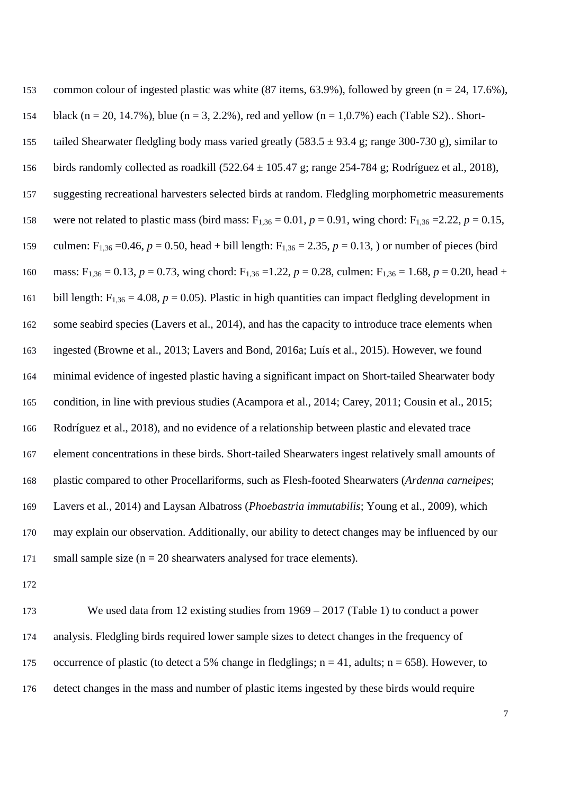| 153 | common colour of ingested plastic was white $(87$ items, $63.9\%)$ , followed by green $(n = 24, 17.6\%)$ ,                                  |
|-----|----------------------------------------------------------------------------------------------------------------------------------------------|
| 154 | black (n = 20, 14.7%), blue (n = 3, 2.2%), red and yellow (n = 1,0.7%) each (Table S2) Short-                                                |
| 155 | tailed Shearwater fledgling body mass varied greatly $(583.5 \pm 93.4 \text{ g})$ ; range 300-730 g), similar to                             |
| 156 | birds randomly collected as roadkill $(522.64 \pm 105.47 \text{ g})$ ; range 254-784 g; Rodríguez et al., 2018),                             |
| 157 | suggesting recreational harvesters selected birds at random. Fledgling morphometric measurements                                             |
| 158 | were not related to plastic mass (bird mass: $F_{1,36} = 0.01$ , $p = 0.91$ , wing chord: $F_{1,36} = 2.22$ , $p = 0.15$ ,                   |
| 159 | culmen: F <sub>1,36</sub> = 0.46, $p = 0.50$ , head + bill length: F <sub>1,36</sub> = 2.35, $p = 0.13$ , or number of pieces (bird          |
| 160 | mass: F <sub>1,36</sub> = 0.13, p = 0.73, wing chord: F <sub>1,36</sub> = 1.22, p = 0.28, culmen: F <sub>1,36</sub> = 1.68, p = 0.20, head + |
| 161 | bill length: $F_{1,36} = 4.08$ , $p = 0.05$ ). Plastic in high quantities can impact fledgling development in                                |
| 162 | some seabird species (Lavers et al., 2014), and has the capacity to introduce trace elements when                                            |
| 163 | ingested (Browne et al., 2013; Lavers and Bond, 2016a; Luís et al., 2015). However, we found                                                 |
| 164 | minimal evidence of ingested plastic having a significant impact on Short-tailed Shearwater body                                             |
| 165 | condition, in line with previous studies (Acampora et al., 2014; Carey, 2011; Cousin et al., 2015;                                           |
| 166 | Rodríguez et al., 2018), and no evidence of a relationship between plastic and elevated trace                                                |
| 167 | element concentrations in these birds. Short-tailed Shearwaters ingest relatively small amounts of                                           |
| 168 | plastic compared to other Procellariforms, such as Flesh-footed Shearwaters (Ardenna carneipes;                                              |
| 169 | Lavers et al., 2014) and Laysan Albatross (Phoebastria immutabilis; Young et al., 2009), which                                               |
| 170 | may explain our observation. Additionally, our ability to detect changes may be influenced by our                                            |
| 171 | small sample size $(n = 20$ shearwaters analysed for trace elements).                                                                        |

 We used data from 12 existing studies from 1969 – 2017 (Table 1) to conduct a power analysis. Fledgling birds required lower sample sizes to detect changes in the frequency of 175 occurrence of plastic (to detect a 5% change in fledglings;  $n = 41$ , adults;  $n = 658$ ). However, to detect changes in the mass and number of plastic items ingested by these birds would require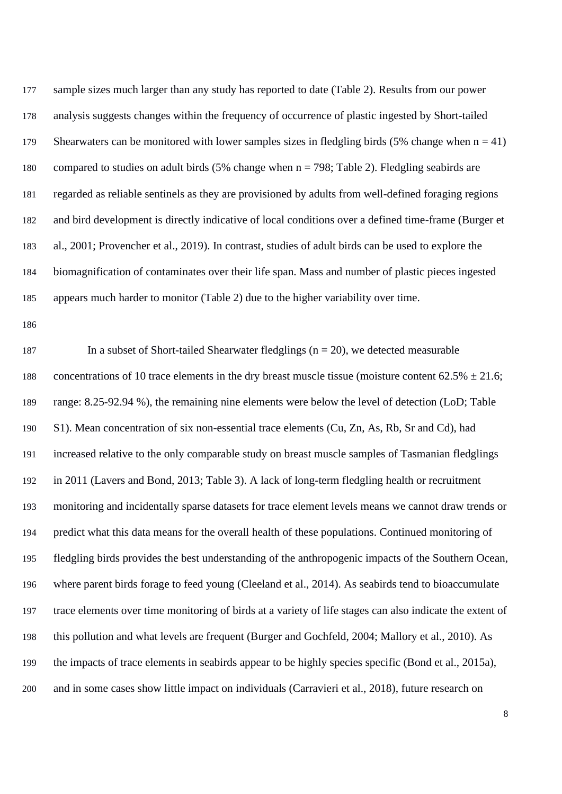sample sizes much larger than any study has reported to date (Table 2). Results from our power analysis suggests changes within the frequency of occurrence of plastic ingested by Short-tailed 179 Shearwaters can be monitored with lower samples sizes in fledgling birds (5% change when  $n = 41$ ) compared to studies on adult birds (5% change when n = 798; Table 2). Fledgling seabirds are regarded as reliable sentinels as they are provisioned by adults from well-defined foraging regions and bird development is directly indicative of local conditions over a defined time-frame [\(Burger et](#page-12-8)  [al., 2001;](#page-12-8) [Provencher et al., 2019\)](#page-17-9). In contrast, studies of adult birds can be used to explore the biomagnification of contaminates over their life span. Mass and number of plastic pieces ingested appears much harder to monitor (Table 2) due to the higher variability over time.

187 In a subset of Short-tailed Shearwater fledglings  $(n = 20)$ , we detected measurable 188 concentrations of 10 trace elements in the dry breast muscle tissue (moisture content  $62.5\% \pm 21.6$ ; range: 8.25-92.94 %), the remaining nine elements were below the level of detection (LoD; Table S1). Mean concentration of six non-essential trace elements (Cu, Zn, As, Rb, Sr and Cd), had increased relative to the only comparable study on breast muscle samples of Tasmanian fledglings in 2011 [\(Lavers and Bond, 2013; Table 3\)](#page-15-7). A lack of long-term fledgling health or recruitment monitoring and incidentally sparse datasets for trace element levels means we cannot draw trends or predict what this data means for the overall health of these populations. Continued monitoring of fledgling birds provides the best understanding of the anthropogenic impacts of the Southern Ocean, where parent birds forage to feed young [\(Cleeland et al., 2014\)](#page-12-5). As seabirds tend to bioaccumulate trace elements over time monitoring of birds at a variety of life stages can also indicate the extent of this pollution and what levels are frequent [\(Burger and Gochfeld,](#page-12-9) 2004; [Mallory et al., 2010\)](#page-15-1). As the impacts of trace elements in seabirds appear to be highly species specific [\(Bond et al., 2015a\)](#page-11-1), and in some cases show little impact on individuals [\(Carravieri et al., 2018\)](#page-12-10), future research on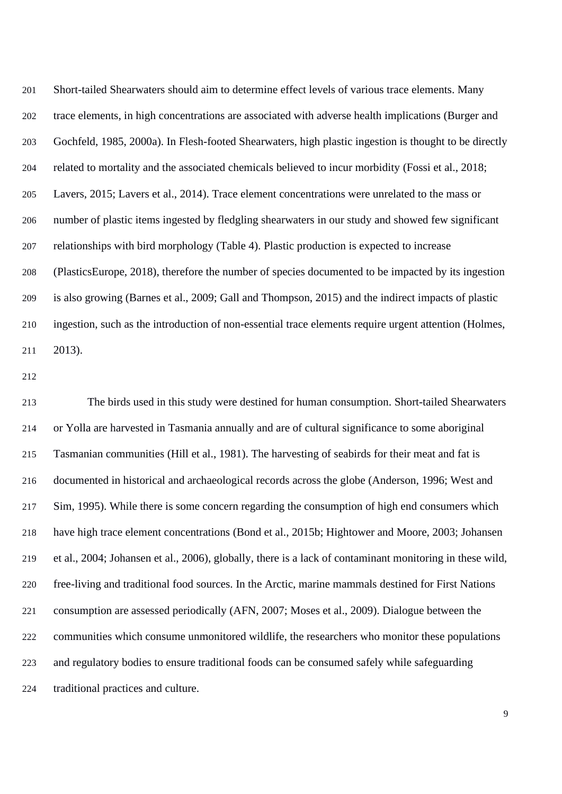Short-tailed Shearwaters should aim to determine effect levels of various trace elements. Many trace elements, in high concentrations are associated with adverse health implications [\(Burger and](#page-12-11)  [Gochfeld, 1985,](#page-12-11) [2000a\)](#page-12-12). In Flesh-footed Shearwaters, high plastic ingestion is thought to be directly related to mortality and the associated chemicals believed to incur morbidity [\(Fossi et al., 2018;](#page-13-6) [Lavers, 2015;](#page-15-11) [Lavers et al., 2014\)](#page-15-5). Trace element concentrations were unrelated to the mass or number of plastic items ingested by fledgling shearwaters in our study and showed few significant relationships with bird morphology (Table 4). Plastic production is expected to increase [\(PlasticsEurope, 2018\)](#page-17-10), therefore the number of species documented to be impacted by its ingestion is also growing [\(Barnes et al., 2009;](#page-11-4) [Gall and Thompson, 2015\)](#page-13-10) and the indirect impacts of plastic ingestion, such as the introduction of non-essential trace elements require urgent attention [\(Holmes,](#page-14-6)  [2013\)](#page-14-6).

 The birds used in this study were destined for human consumption. Short-tailed Shearwaters or Yolla are harvested in Tasmania annually and are of cultural significance to some aboriginal Tasmanian communities [\(Hill et al., 1981\)](#page-14-7). The harvesting of seabirds for their meat and fat is documented in historical and archaeological records across the globe [\(Anderson, 1996;](#page-11-5) [West and](#page-19-2)  [Sim, 1995\)](#page-19-2). While there is some concern regarding the consumption of high end consumers which have high trace element concentrations [\(Bond et al., 2015b;](#page-11-6) [Hightower and Moore, 2003;](#page-14-8) [Johansen](#page-14-9)  [et al., 2004;](#page-14-9) [Johansen et al., 2006\)](#page-14-10), globally, there is a lack of contaminant monitoring in these wild, free-living and traditional food sources. In the Arctic, marine mammals destined for First Nations consumption are assessed periodically [\(AFN, 2007;](#page-11-7) [Moses et al., 2009\)](#page-16-8). Dialogue between the communities which consume unmonitored wildlife, the researchers who monitor these populations and regulatory bodies to ensure traditional foods can be consumed safely while safeguarding traditional practices and culture.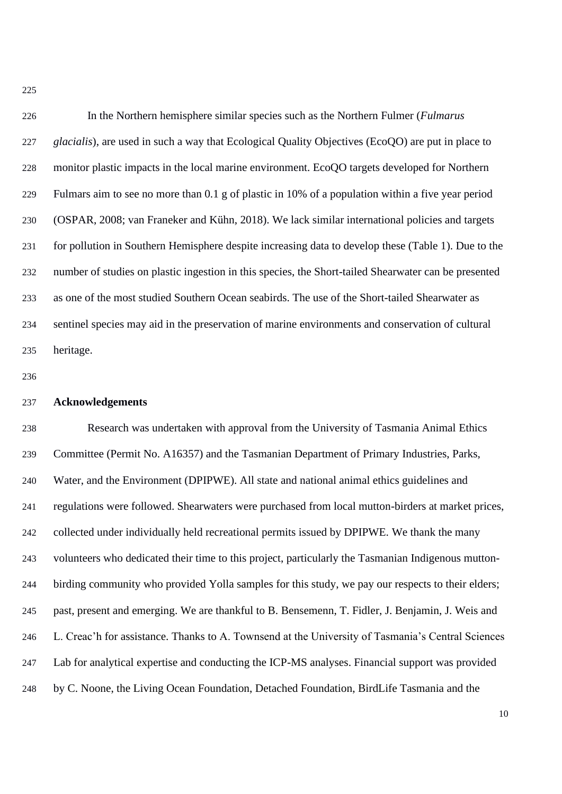| 226 | In the Northern hemisphere similar species such as the Northern Fulmer ( <i>Fulmarus</i>             |
|-----|------------------------------------------------------------------------------------------------------|
| 227 | glacialis), are used in such a way that Ecological Quality Objectives (EcoQO) are put in place to    |
| 228 | monitor plastic impacts in the local marine environment. EcoQO targets developed for Northern        |
| 229 | Fulmars aim to see no more than 0.1 g of plastic in 10% of a population within a five year period    |
| 230 | (OSPAR, 2008; van Francker and Kühn, 2018). We lack similar international policies and targets       |
| 231 | for pollution in Southern Hemisphere despite increasing data to develop these (Table 1). Due to the  |
| 232 | number of studies on plastic ingestion in this species, the Short-tailed Shearwater can be presented |
| 233 | as one of the most studied Southern Ocean seabirds. The use of the Short-tailed Shearwater as        |
| 234 | sentinel species may aid in the preservation of marine environments and conservation of cultural     |
| 235 | heritage.                                                                                            |

#### **Acknowledgements**

 Research was undertaken with approval from the University of Tasmania Animal Ethics Committee (Permit No. A16357) and the Tasmanian Department of Primary Industries, Parks, Water, and the Environment (DPIPWE). All state and national animal ethics guidelines and regulations were followed. Shearwaters were purchased from local mutton-birders at market prices, collected under individually held recreational permits issued by DPIPWE. We thank the many volunteers who dedicated their time to this project, particularly the Tasmanian Indigenous mutton- birding community who provided Yolla samples for this study, we pay our respects to their elders; past, present and emerging. We are thankful to B. Bensemenn, T. Fidler, J. Benjamin, J. Weis and L. Creac'h for assistance. Thanks to A. Townsend at the University of Tasmania's Central Sciences Lab for analytical expertise and conducting the ICP-MS analyses. Financial support was provided by C. Noone, the Living Ocean Foundation, Detached Foundation, BirdLife Tasmania and the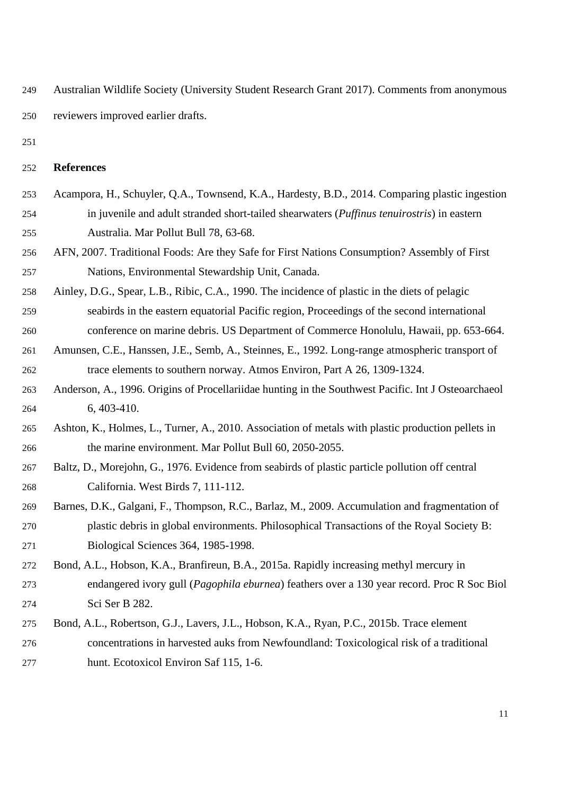<span id="page-11-10"></span><span id="page-11-9"></span> Australian Wildlife Society (University Student Research Grant 2017). Comments from anonymous reviewers improved earlier drafts.

#### **References**

- <span id="page-11-3"></span> Acampora, H., Schuyler, Q.A., Townsend, K.A., Hardesty, B.D., 2014. Comparing plastic ingestion in juvenile and adult stranded short-tailed shearwaters (*Puffinus tenuirostris*) in eastern Australia. Mar Pollut Bull 78, 63-68.
- <span id="page-11-8"></span><span id="page-11-7"></span> AFN, 2007. Traditional Foods: Are they Safe for First Nations Consumption? Assembly of First Nations, Environmental Stewardship Unit, Canada.
- Ainley, D.G., Spear, L.B., Ribic, C.A., 1990. The incidence of plastic in the diets of pelagic seabirds in the eastern equatorial Pacific region, Proceedings of the second international conference on marine debris. US Department of Commerce Honolulu, Hawaii, pp. 653-664.
- <span id="page-11-0"></span> Amunsen, C.E., Hanssen, J.E., Semb, A., Steinnes, E., 1992. Long-range atmospheric transport of trace elements to southern norway. Atmos Environ, Part A 26, 1309-1324.
- <span id="page-11-5"></span> Anderson, A., 1996. Origins of Procellariidae hunting in the Southwest Pacific. Int J Osteoarchaeol 6, 403-410.
- <span id="page-11-2"></span> Ashton, K., Holmes, L., Turner, A., 2010. Association of metals with plastic production pellets in the marine environment. Mar Pollut Bull 60, 2050-2055.
- Baltz, D., Morejohn, G., 1976. Evidence from seabirds of plastic particle pollution off central California. West Birds 7, 111-112.
- <span id="page-11-4"></span> Barnes, D.K., Galgani, F., Thompson, R.C., Barlaz, M., 2009. Accumulation and fragmentation of plastic debris in global environments. Philosophical Transactions of the Royal Society B: Biological Sciences 364, 1985-1998.
- <span id="page-11-1"></span> Bond, A.L., Hobson, K.A., Branfireun, B.A., 2015a. Rapidly increasing methyl mercury in endangered ivory gull (*Pagophila eburnea*) feathers over a 130 year record. Proc R Soc Biol Sci Ser B 282.
- <span id="page-11-6"></span> Bond, A.L., Robertson, G.J., Lavers, J.L., Hobson, K.A., Ryan, P.C., 2015b. Trace element concentrations in harvested auks from Newfoundland: Toxicological risk of a traditional hunt. Ecotoxicol Environ Saf 115, 1-6.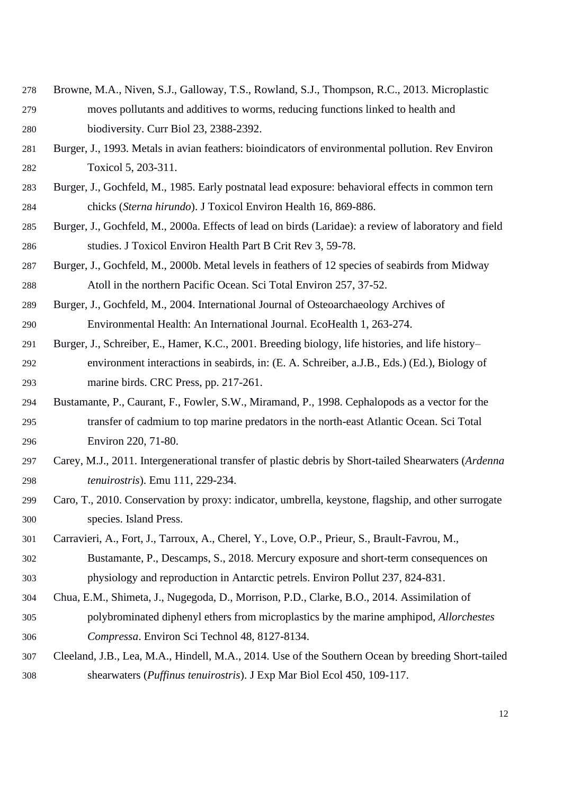- <span id="page-12-7"></span> Browne, M.A., Niven, S.J., Galloway, T.S., Rowland, S.J., Thompson, R.C., 2013. Microplastic moves pollutants and additives to worms, reducing functions linked to health and biodiversity. Curr Biol 23, 2388-2392.
- <span id="page-12-1"></span> Burger, J., 1993. Metals in avian feathers: bioindicators of environmental pollution. Rev Environ Toxicol 5, 203-311.
- <span id="page-12-11"></span> Burger, J., Gochfeld, M., 1985. Early postnatal lead exposure: behavioral effects in common tern chicks (*Sterna hirundo*). J Toxicol Environ Health 16, 869-886.
- <span id="page-12-13"></span><span id="page-12-12"></span> Burger, J., Gochfeld, M., 2000a. Effects of lead on birds (Laridae): a review of laboratory and field studies. J Toxicol Environ Health Part B Crit Rev 3, 59-78.
- <span id="page-12-2"></span> Burger, J., Gochfeld, M., 2000b. Metal levels in feathers of 12 species of seabirds from Midway Atoll in the northern Pacific Ocean. Sci Total Environ 257, 37-52.
- <span id="page-12-9"></span> Burger, J., Gochfeld, M., 2004. International Journal of Osteoarchaeology Archives of Environmental Health: An International Journal. EcoHealth 1, 263-274.
- <span id="page-12-8"></span> Burger, J., Schreiber, E., Hamer, K.C., 2001. Breeding biology, life histories, and life history– environment interactions in seabirds, in: (E. A. Schreiber, a.J.B., Eds.) (Ed.), Biology of marine birds. CRC Press, pp. 217-261.
- <span id="page-12-3"></span> Bustamante, P., Caurant, F., Fowler, S.W., Miramand, P., 1998. Cephalopods as a vector for the transfer of cadmium to top marine predators in the north-east Atlantic Ocean. Sci Total Environ 220, 71-80.
- <span id="page-12-6"></span> Carey, M.J., 2011. Intergenerational transfer of plastic debris by Short-tailed Shearwaters (*Ardenna tenuirostris*). Emu 111, 229-234.
- <span id="page-12-0"></span> Caro, T., 2010. Conservation by proxy: indicator, umbrella, keystone, flagship, and other surrogate species. Island Press.
- <span id="page-12-10"></span> Carravieri, A., Fort, J., Tarroux, A., Cherel, Y., Love, O.P., Prieur, S., Brault-Favrou, M., Bustamante, P., Descamps, S., 2018. Mercury exposure and short-term consequences on physiology and reproduction in Antarctic petrels. Environ Pollut 237, 824-831.
- <span id="page-12-4"></span> Chua, E.M., Shimeta, J., Nugegoda, D., Morrison, P.D., Clarke, B.O., 2014. Assimilation of polybrominated diphenyl ethers from microplastics by the marine amphipod, *Allorchestes Compressa*. Environ Sci Technol 48, 8127-8134.
- <span id="page-12-5"></span> Cleeland, J.B., Lea, M.A., Hindell, M.A., 2014. Use of the Southern Ocean by breeding Short-tailed shearwaters (*Puffinus tenuirostris*). J Exp Mar Biol Ecol 450, 109-117.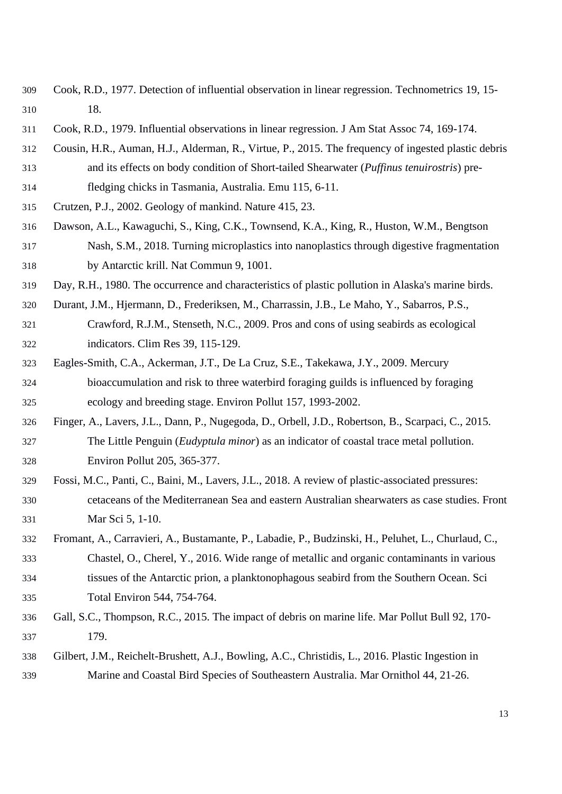- <span id="page-13-13"></span><span id="page-13-11"></span><span id="page-13-8"></span> Cook, R.D., 1977. Detection of influential observation in linear regression. Technometrics 19, 15- 18.
- <span id="page-13-9"></span>Cook, R.D., 1979. Influential observations in linear regression. J Am Stat Assoc 74, 169-174.
- <span id="page-13-7"></span> Cousin, H.R., Auman, H.J., Alderman, R., Virtue, P., 2015. The frequency of ingested plastic debris and its effects on body condition of Short-tailed Shearwater (*Puffinus tenuirostris*) pre-
- fledging chicks in Tasmania, Australia. Emu 115, 6-11.
- <span id="page-13-0"></span>Crutzen, P.J., 2002. Geology of mankind. Nature 415, 23.
- <span id="page-13-5"></span> Dawson, A.L., Kawaguchi, S., King, C.K., Townsend, K.A., King, R., Huston, W.M., Bengtson Nash, S.M., 2018. Turning microplastics into nanoplastics through digestive fragmentation by Antarctic krill. Nat Commun 9, 1001.
- Day, R.H., 1980. The occurrence and characteristics of plastic pollution in Alaska's marine birds.
- <span id="page-13-1"></span> Durant, J.M., Hjermann, D., Frederiksen, M., Charrassin, J.B., Le Maho, Y., Sabarros, P.S., Crawford, R.J.M., Stenseth, N.C., 2009. Pros and cons of using seabirds as ecological indicators. Clim Res 39, 115-129.
- <span id="page-13-2"></span> Eagles-Smith, C.A., Ackerman, J.T., De La Cruz, S.E., Takekawa, J.Y., 2009. Mercury bioaccumulation and risk to three waterbird foraging guilds is influenced by foraging ecology and breeding stage. Environ Pollut 157, 1993-2002.
- <span id="page-13-12"></span><span id="page-13-3"></span> Finger, A., Lavers, J.L., Dann, P., Nugegoda, D., Orbell, J.D., Robertson, B., Scarpaci, C., 2015. The Little Penguin (*Eudyptula minor*) as an indicator of coastal trace metal pollution. Environ Pollut 205, 365-377.
- <span id="page-13-6"></span> Fossi, M.C., Panti, C., Baini, M., Lavers, J.L., 2018. A review of plastic-associated pressures: cetaceans of the Mediterranean Sea and eastern Australian shearwaters as case studies. Front Mar Sci 5, 1-10.
- <span id="page-13-4"></span> Fromant, A., Carravieri, A., Bustamante, P., Labadie, P., Budzinski, H., Peluhet, L., Churlaud, C., Chastel, O., Cherel, Y., 2016. Wide range of metallic and organic contaminants in various tissues of the Antarctic prion, a planktonophagous seabird from the Southern Ocean. Sci Total Environ 544, 754-764.
- <span id="page-13-10"></span> Gall, S.C., Thompson, R.C., 2015. The impact of debris on marine life. Mar Pollut Bull 92, 170- 179.
- Gilbert, J.M., Reichelt-Brushett, A.J., Bowling, A.C., Christidis, L., 2016. Plastic Ingestion in Marine and Coastal Bird Species of Southeastern Australia. Mar Ornithol 44, 21-26.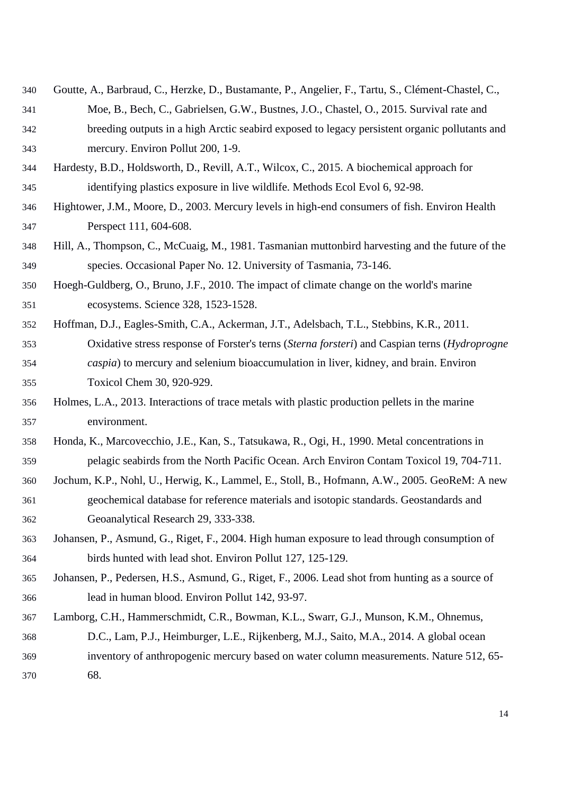- <span id="page-14-11"></span><span id="page-14-3"></span> Goutte, A., Barbraud, C., Herzke, D., Bustamante, P., Angelier, F., Tartu, S., Clément-Chastel, C., Moe, B., Bech, C., Gabrielsen, G.W., Bustnes, J.O., Chastel, O., 2015. Survival rate and breeding outputs in a high Arctic seabird exposed to legacy persistent organic pollutants and mercury. Environ Pollut 200, 1-9.
- Hardesty, B.D., Holdsworth, D., Revill, A.T., Wilcox, C., 2015. A biochemical approach for identifying plastics exposure in live wildlife. Methods Ecol Evol 6, 92-98.
- <span id="page-14-12"></span><span id="page-14-8"></span> Hightower, J.M., Moore, D., 2003. Mercury levels in high-end consumers of fish. Environ Health Perspect 111, 604-608.
- <span id="page-14-7"></span> Hill, A., Thompson, C., McCuaig, M., 1981. Tasmanian muttonbird harvesting and the future of the species. Occasional Paper No. 12. University of Tasmania, 73-146.
- <span id="page-14-0"></span> Hoegh-Guldberg, O., Bruno, J.F., 2010. The impact of climate change on the world's marine ecosystems. Science 328, 1523-1528.
- <span id="page-14-2"></span> Hoffman, D.J., Eagles-Smith, C.A., Ackerman, J.T., Adelsbach, T.L., Stebbins, K.R., 2011. Oxidative stress response of Forster's terns (*Sterna forsteri*) and Caspian terns (*Hydroprogne caspia*) to mercury and selenium bioaccumulation in liver, kidney, and brain. Environ Toxicol Chem 30, 920-929.
- <span id="page-14-6"></span> Holmes, L.A., 2013. Interactions of trace metals with plastic production pellets in the marine environment.
- <span id="page-14-4"></span> Honda, K., Marcovecchio, J.E., Kan, S., Tatsukawa, R., Ogi, H., 1990. Metal concentrations in pelagic seabirds from the North Pacific Ocean. Arch Environ Contam Toxicol 19, 704-711.
- <span id="page-14-5"></span> Jochum, K.P., Nohl, U., Herwig, K., Lammel, E., Stoll, B., Hofmann, A.W., 2005. GeoReM: A new geochemical database for reference materials and isotopic standards. Geostandards and Geoanalytical Research 29, 333-338.
- <span id="page-14-9"></span> Johansen, P., Asmund, G., Riget, F., 2004. High human exposure to lead through consumption of birds hunted with lead shot. Environ Pollut 127, 125-129.
- <span id="page-14-10"></span> Johansen, P., Pedersen, H.S., Asmund, G., Riget, F., 2006. Lead shot from hunting as a source of lead in human blood. Environ Pollut 142, 93-97.
- <span id="page-14-1"></span> Lamborg, C.H., Hammerschmidt, C.R., Bowman, K.L., Swarr, G.J., Munson, K.M., Ohnemus, D.C., Lam, P.J., Heimburger, L.E., Rijkenberg, M.J., Saito, M.A., 2014. A global ocean inventory of anthropogenic mercury based on water column measurements. Nature 512, 65- 68.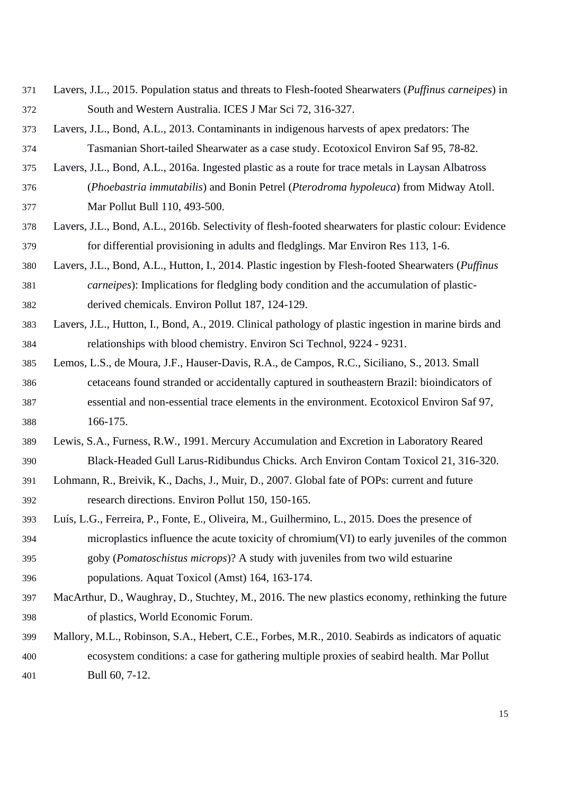- <span id="page-15-12"></span><span id="page-15-11"></span> Lavers, J.L., 2015. Population status and threats to Flesh-footed Shearwaters (*Puffinus carneipes*) in South and Western Australia. ICES J Mar Sci 72, 316-327.
- <span id="page-15-7"></span> Lavers, J.L., Bond, A.L., 2013. Contaminants in indigenous harvests of apex predators: The Tasmanian Short-tailed Shearwater as a case study. Ecotoxicol Environ Saf 95, 78-82.
- <span id="page-15-8"></span> Lavers, J.L., Bond, A.L., 2016a. Ingested plastic as a route for trace metals in Laysan Albatross (*Phoebastria immutabilis*) and Bonin Petrel (*Pterodroma hypoleuca*) from Midway Atoll. Mar Pollut Bull 110, 493-500.
- <span id="page-15-9"></span> Lavers, J.L., Bond, A.L., 2016b. Selectivity of flesh-footed shearwaters for plastic colour: Evidence for differential provisioning in adults and fledglings. Mar Environ Res 113, 1-6.
- <span id="page-15-5"></span> Lavers, J.L., Bond, A.L., Hutton, I., 2014. Plastic ingestion by Flesh-footed Shearwaters (*Puffinus carneipes*): Implications for fledgling body condition and the accumulation of plastic-derived chemicals. Environ Pollut 187, 124-129.
- <span id="page-15-6"></span> Lavers, J.L., Hutton, I., Bond, A., 2019. Clinical pathology of plastic ingestion in marine birds and relationships with blood chemistry. Environ Sci Technol, 9224 - 9231.
- <span id="page-15-3"></span> Lemos, L.S., de Moura, J.F., Hauser-Davis, R.A., de Campos, R.C., Siciliano, S., 2013. Small cetaceans found stranded or accidentally captured in southeastern Brazil: bioindicators of essential and non-essential trace elements in the environment. Ecotoxicol Environ Saf 97, 166-175.
- <span id="page-15-4"></span> Lewis, S.A., Furness, R.W., 1991. Mercury Accumulation and Excretion in Laboratory Reared Black-Headed Gull Larus-Ridibundus Chicks. Arch Environ Contam Toxicol 21, 316-320.
- <span id="page-15-2"></span> Lohmann, R., Breivik, K., Dachs, J., Muir, D., 2007. Global fate of POPs: current and future research directions. Environ Pollut 150, 150-165.
- <span id="page-15-10"></span> Luís, L.G., Ferreira, P., Fonte, E., Oliveira, M., Guilhermino, L., 2015. Does the presence of microplastics influence the acute toxicity of chromium(VI) to early juveniles of the common goby (*Pomatoschistus microps*)? A study with juveniles from two wild estuarine
- populations. Aquat Toxicol (Amst) 164, 163-174.
- <span id="page-15-0"></span> MacArthur, D., Waughray, D., Stuchtey, M., 2016. The new plastics economy, rethinking the future of plastics, World Economic Forum.
- <span id="page-15-1"></span> Mallory, M.L., Robinson, S.A., Hebert, C.E., Forbes, M.R., 2010. Seabirds as indicators of aquatic ecosystem conditions: a case for gathering multiple proxies of seabird health. Mar Pollut Bull 60, 7-12.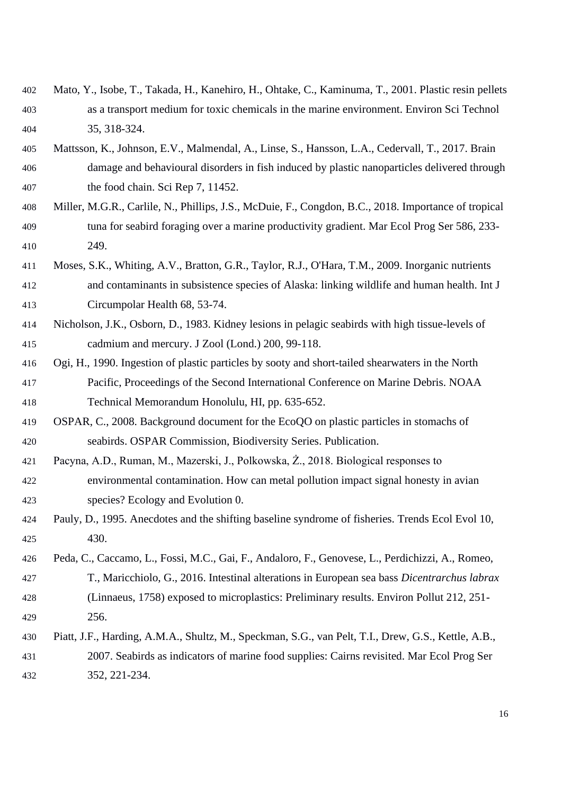- <span id="page-16-4"></span> Mato, Y., Isobe, T., Takada, H., Kanehiro, H., Ohtake, C., Kaminuma, T., 2001. Plastic resin pellets as a transport medium for toxic chemicals in the marine environment. Environ Sci Technol 35, 318-324.
- <span id="page-16-10"></span><span id="page-16-5"></span> Mattsson, K., Johnson, E.V., Malmendal, A., Linse, S., Hansson, L.A., Cedervall, T., 2017. Brain damage and behavioural disorders in fish induced by plastic nanoparticles delivered through the food chain. Sci Rep 7, 11452.
- <span id="page-16-7"></span> Miller, M.G.R., Carlile, N., Phillips, J.S., McDuie, F., Congdon, B.C., 2018. Importance of tropical tuna for seabird foraging over a marine productivity gradient. Mar Ecol Prog Ser 586, 233- 249.
- <span id="page-16-8"></span> Moses, S.K., Whiting, A.V., Bratton, G.R., Taylor, R.J., O'Hara, T.M., 2009. Inorganic nutrients and contaminants in subsistence species of Alaska: linking wildlife and human health. Int J Circumpolar Health 68, 53-74.
- <span id="page-16-2"></span> Nicholson, J.K., Osborn, D., 1983. Kidney lesions in pelagic seabirds with high tissue-levels of cadmium and mercury. J Zool (Lond.) 200, 99-118.
- Ogi, H., 1990. Ingestion of plastic particles by sooty and short-tailed shearwaters in the North Pacific, Proceedings of the Second International Conference on Marine Debris. NOAA Technical Memorandum Honolulu, HI, pp. 635-652.
- <span id="page-16-9"></span> OSPAR, C., 2008. Background document for the EcoQO on plastic particles in stomachs of seabirds. OSPAR Commission, Biodiversity Series. Publication.
- <span id="page-16-3"></span> Pacyna, A.D., Ruman, M., Mazerski, J., Polkowska, Ż., 2018. Biological responses to environmental contamination. How can metal pollution impact signal honesty in avian species? Ecology and Evolution 0.
- <span id="page-16-0"></span> Pauly, D., 1995. Anecdotes and the shifting baseline syndrome of fisheries. Trends Ecol Evol 10, 430.
- <span id="page-16-6"></span> Peda, C., Caccamo, L., Fossi, M.C., Gai, F., Andaloro, F., Genovese, L., Perdichizzi, A., Romeo, T., Maricchiolo, G., 2016. Intestinal alterations in European sea bass *Dicentrarchus labrax* (Linnaeus, 1758) exposed to microplastics: Preliminary results. Environ Pollut 212, 251- 256.
- <span id="page-16-1"></span> Piatt, J.F., Harding, A.M.A., Shultz, M., Speckman, S.G., van Pelt, T.I., Drew, G.S., Kettle, A.B., 2007. Seabirds as indicators of marine food supplies: Cairns revisited. Mar Ecol Prog Ser 352, 221-234.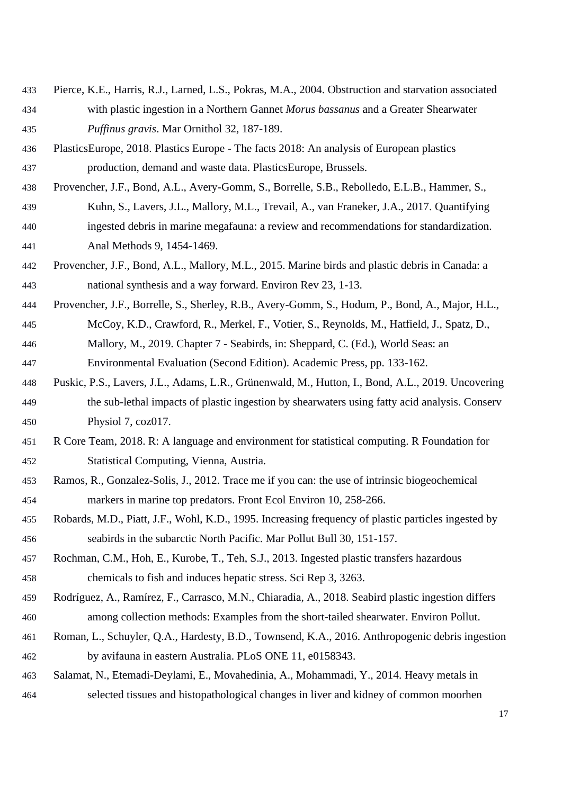- <span id="page-17-2"></span> Pierce, K.E., Harris, R.J., Larned, L.S., Pokras, M.A., 2004. Obstruction and starvation associated with plastic ingestion in a Northern Gannet *Morus bassanus* and a Greater Shearwater *Puffinus gravis*. Mar Ornithol 32, 187-189.
- <span id="page-17-10"></span> PlasticsEurope, 2018. Plastics Europe - The facts 2018: An analysis of European plastics production, demand and waste data. PlasticsEurope, Brussels.
- <span id="page-17-4"></span> Provencher, J.F., Bond, A.L., Avery-Gomm, S., Borrelle, S.B., Rebolledo, E.L.B., Hammer, S., Kuhn, S., Lavers, J.L., Mallory, M.L., Trevail, A., van Franeker, J.A., 2017. Quantifying ingested debris in marine megafauna: a review and recommendations for standardization. Anal Methods 9, 1454-1469.
- <span id="page-17-7"></span> Provencher, J.F., Bond, A.L., Mallory, M.L., 2015. Marine birds and plastic debris in Canada: a national synthesis and a way forward. Environ Rev 23, 1-13.
- <span id="page-17-11"></span><span id="page-17-9"></span> Provencher, J.F., Borrelle, S., Sherley, R.B., Avery-Gomm, S., Hodum, P., Bond, A., Major, H.L., McCoy, K.D., Crawford, R., Merkel, F., Votier, S., Reynolds, M., Hatfield, J., Spatz, D., Mallory, M., 2019. Chapter 7 - Seabirds, in: Sheppard, C. (Ed.), World Seas: an

<span id="page-17-13"></span>Environmental Evaluation (Second Edition). Academic Press, pp. 133-162.

- <span id="page-17-12"></span><span id="page-17-5"></span> Puskic, P.S., Lavers, J.L., Adams, L.R., Grünenwald, M., Hutton, I., Bond, A.L., 2019. Uncovering the sub-lethal impacts of plastic ingestion by shearwaters using fatty acid analysis. Conserv Physiol 7, coz017.
- <span id="page-17-6"></span> R Core Team, 2018. R: A language and environment for statistical computing. R Foundation for Statistical Computing, Vienna, Austria.
- <span id="page-17-1"></span> Ramos, R., Gonzalez-Solis, J., 2012. Trace me if you can: the use of intrinsic biogeochemical markers in marine top predators. Front Ecol Environ 10, 258-266.
- Robards, M.D., Piatt, J.F., Wohl, K.D., 1995. Increasing frequency of plastic particles ingested by seabirds in the subarctic North Pacific. Mar Pollut Bull 30, 151-157.
- <span id="page-17-3"></span> Rochman, C.M., Hoh, E., Kurobe, T., Teh, S.J., 2013. Ingested plastic transfers hazardous chemicals to fish and induces hepatic stress. Sci Rep 3, 3263.
- <span id="page-17-8"></span> Rodríguez, A., Ramírez, F., Carrasco, M.N., Chiaradia, A., 2018. Seabird plastic ingestion differs among collection methods: Examples from the short-tailed shearwater. Environ Pollut.
- Roman, L., Schuyler, Q.A., Hardesty, B.D., Townsend, K.A., 2016. Anthropogenic debris ingestion by avifauna in eastern Australia. PLoS ONE 11, e0158343.
- <span id="page-17-0"></span> Salamat, N., Etemadi-Deylami, E., Movahedinia, A., Mohammadi, Y., 2014. Heavy metals in selected tissues and histopathological changes in liver and kidney of common moorhen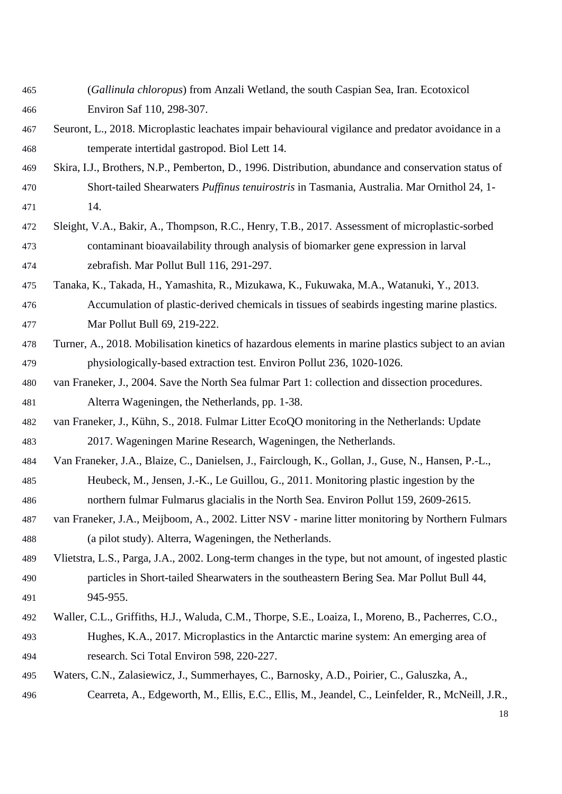- <span id="page-18-13"></span><span id="page-18-11"></span> (*Gallinula chloropus*) from Anzali Wetland, the south Caspian Sea, Iran. Ecotoxicol Environ Saf 110, 298-307.
- <span id="page-18-5"></span> Seuront, L., 2018. Microplastic leachates impair behavioural vigilance and predator avoidance in a temperate intertidal gastropod. Biol Lett 14.
- <span id="page-18-6"></span> Skira, I.J., Brothers, N.P., Pemberton, D., 1996. Distribution, abundance and conservation status of Short-tailed Shearwaters *Puffinus tenuirostris* in Tasmania, Australia. Mar Ornithol 24, 1- 14.
- <span id="page-18-2"></span> Sleight, V.A., Bakir, A., Thompson, R.C., Henry, T.B., 2017. Assessment of microplastic-sorbed contaminant bioavailability through analysis of biomarker gene expression in larval zebrafish. Mar Pollut Bull 116, 291-297.
- <span id="page-18-3"></span> Tanaka, K., Takada, H., Yamashita, R., Mizukawa, K., Fukuwaka, M.A., Watanuki, Y., 2013. Accumulation of plastic-derived chemicals in tissues of seabirds ingesting marine plastics. Mar Pollut Bull 69, 219-222.
- <span id="page-18-12"></span><span id="page-18-4"></span> Turner, A., 2018. Mobilisation kinetics of hazardous elements in marine plastics subject to an avian physiologically-based extraction test. Environ Pollut 236, 1020-1026.
- <span id="page-18-8"></span> van Franeker, J., 2004. Save the North Sea fulmar Part 1: collection and dissection procedures. Alterra Wageningen, the Netherlands, pp. 1-38.
- <span id="page-18-10"></span> van Franeker, J., Kühn, S., 2018. Fulmar Litter EcoQO monitoring in the Netherlands: Update 2017. Wageningen Marine Research, Wageningen, the Netherlands.
- <span id="page-18-1"></span> Van Franeker, J.A., Blaize, C., Danielsen, J., Fairclough, K., Gollan, J., Guse, N., Hansen, P.-L., Heubeck, M., Jensen, J.-K., Le Guillou, G., 2011. Monitoring plastic ingestion by the northern fulmar Fulmarus glacialis in the North Sea. Environ Pollut 159, 2609-2615.
- <span id="page-18-9"></span> van Franeker, J.A., Meijboom, A., 2002. Litter NSV - marine litter monitoring by Northern Fulmars (a pilot study). Alterra, Wageningen, the Netherlands.
- Vlietstra, L.S., Parga, J.A., 2002. Long-term changes in the type, but not amount, of ingested plastic particles in Short-tailed Shearwaters in the southeastern Bering Sea. Mar Pollut Bull 44, 945-955.
- <span id="page-18-7"></span> Waller, C.L., Griffiths, H.J., Waluda, C.M., Thorpe, S.E., Loaiza, I., Moreno, B., Pacherres, C.O., Hughes, K.A., 2017. Microplastics in the Antarctic marine system: An emerging area of research. Sci Total Environ 598, 220-227.
- <span id="page-18-0"></span> Waters, C.N., Zalasiewicz, J., Summerhayes, C., Barnosky, A.D., Poirier, C., Galuszka, A., Cearreta, A., Edgeworth, M., Ellis, E.C., Ellis, M., Jeandel, C., Leinfelder, R., McNeill, J.R.,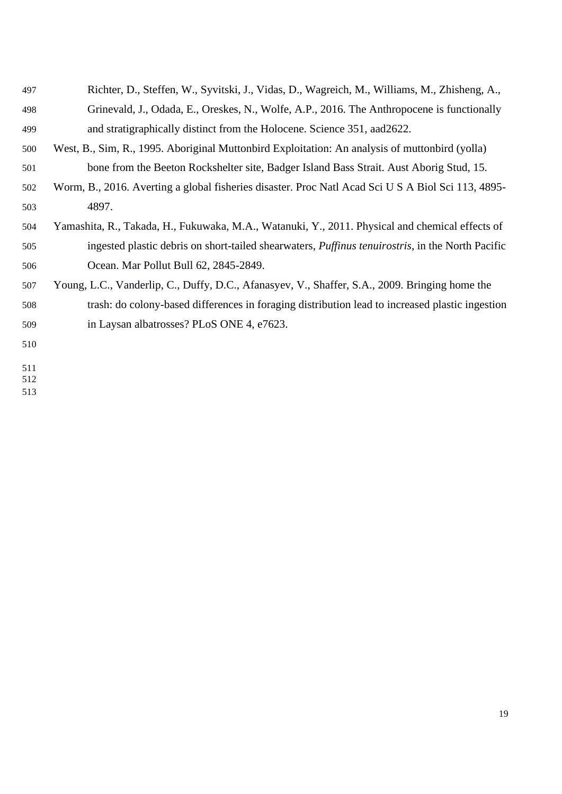<span id="page-19-3"></span><span id="page-19-2"></span><span id="page-19-1"></span><span id="page-19-0"></span>

| 497 | Richter, D., Steffen, W., Syvitski, J., Vidas, D., Wagreich, M., Williams, M., Zhisheng, A.,             |
|-----|----------------------------------------------------------------------------------------------------------|
| 498 | Grinevald, J., Odada, E., Oreskes, N., Wolfe, A.P., 2016. The Anthropocene is functionally               |
| 499 | and stratigraphically distinct from the Holocene. Science 351, aad 2622.                                 |
| 500 | West, B., Sim, R., 1995. Aboriginal Muttonbird Exploitation: An analysis of muttonbird (yolla)           |
| 501 | bone from the Beeton Rockshelter site, Badger Island Bass Strait. Aust Aborig Stud, 15.                  |
| 502 | Worm, B., 2016. Averting a global fisheries disaster. Proc Natl Acad Sci U S A Biol Sci 113, 4895-       |
| 503 | 4897.                                                                                                    |
| 504 | Yamashita, R., Takada, H., Fukuwaka, M.A., Watanuki, Y., 2011. Physical and chemical effects of          |
| 505 | ingested plastic debris on short-tailed shearwaters, <i>Puffinus tenuirostris</i> , in the North Pacific |
| 506 | Ocean. Mar Pollut Bull 62, 2845-2849.                                                                    |
| 507 | Young, L.C., Vanderlip, C., Duffy, D.C., Afanasyev, V., Shaffer, S.A., 2009. Bringing home the           |
| 508 | trash: do colony-based differences in foraging distribution lead to increased plastic ingestion          |
| 509 | in Laysan albatrosses? PLoS ONE 4, e7623.                                                                |
| 510 |                                                                                                          |
|     |                                                                                                          |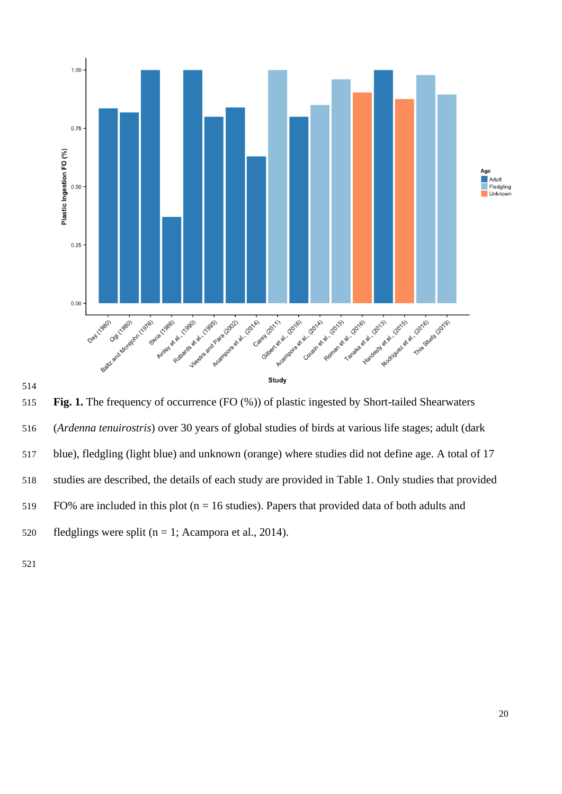



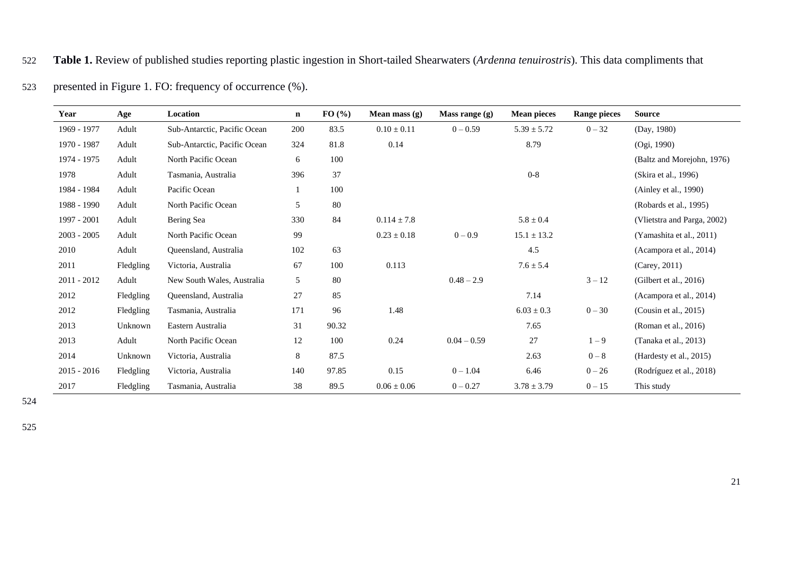# 522 **Table 1.** Review of published studies reporting plastic ingestion in Short-tailed Shearwaters (*Ardenna tenuirostris*). This data compliments that

| 523 |  | presented in Figure 1. FO: frequency of occurrence $%$ ). |
|-----|--|-----------------------------------------------------------|
|-----|--|-----------------------------------------------------------|

| Year          | Age       | Location                     | $\mathbf{n}$ | FO(%)  | Mean mass $(g)$ | Mass range $(g)$ | <b>Mean pieces</b> | <b>Range pieces</b> | <b>Source</b>               |
|---------------|-----------|------------------------------|--------------|--------|-----------------|------------------|--------------------|---------------------|-----------------------------|
| 1969 - 1977   | Adult     | Sub-Antarctic, Pacific Ocean | 200          | 83.5   | $0.10 \pm 0.11$ | $0 - 0.59$       | $5.39 \pm 5.72$    | $0 - 32$            | (Day, 1980)                 |
| 1970 - 1987   | Adult     | Sub-Antarctic, Pacific Ocean | 324          | 81.8   | 0.14            |                  | 8.79               |                     | (Ogi, 1990)                 |
| 1974 - 1975   | Adult     | North Pacific Ocean          | 6            | 100    |                 |                  |                    |                     | (Baltz and Morejohn, 1976)  |
| 1978          | Adult     | Tasmania, Australia          | 396          | 37     |                 |                  | $0 - 8$            |                     | (Skira et al., 1996)        |
| 1984 - 1984   | Adult     | Pacific Ocean                | -1           | 100    |                 |                  |                    |                     | (Ainley et al., 1990)       |
| 1988 - 1990   | Adult     | North Pacific Ocean          | 5            | 80     |                 |                  |                    |                     | (Robards et al., 1995)      |
| 1997 - 2001   | Adult     | Bering Sea                   | 330          | 84     | $0.114 \pm 7.8$ |                  | $5.8\pm0.4$        |                     | (Vlietstra and Parga, 2002) |
| $2003 - 2005$ | Adult     | North Pacific Ocean          | 99           |        | $0.23 \pm 0.18$ | $0 - 0.9$        | $15.1 \pm 13.2$    |                     | (Yamashita et al., 2011)    |
| 2010          | Adult     | Queensland, Australia        | 102          | 63     |                 |                  | 4.5                |                     | (Acampora et al., 2014)     |
| 2011          | Fledgling | Victoria, Australia          | 67           | 100    | 0.113           |                  | $7.6 \pm 5.4$      |                     | (Carey, 2011)               |
| $2011 - 2012$ | Adult     | New South Wales, Australia   | 5            | $80\,$ |                 | $0.48 - 2.9$     |                    | $3 - 12$            | (Gilbert et al., $2016$ )   |
| 2012          | Fledgling | Queensland, Australia        | 27           | 85     |                 |                  | 7.14               |                     | (Acampora et al., 2014)     |
| 2012          | Fledgling | Tasmania, Australia          | 171          | 96     | 1.48            |                  | $6.03 \pm 0.3$     | $0 - 30$            | (Cousin et al., $2015$ )    |
| 2013          | Unknown   | Eastern Australia            | 31           | 90.32  |                 |                  | 7.65               |                     | (Roman et al., 2016)        |
| 2013          | Adult     | North Pacific Ocean          | 12           | 100    | 0.24            | $0.04 - 0.59$    | 27                 | $1-9$               | (Tanaka et al., 2013)       |
| 2014          | Unknown   | Victoria, Australia          | 8            | 87.5   |                 |                  | 2.63               | $0-8$               | (Hardesty et al., 2015)     |
| $2015 - 2016$ | Fledgling | Victoria, Australia          | 140          | 97.85  | 0.15            | $0 - 1.04$       | 6.46               | $0 - 26$            | (Rodríguez et al., 2018)    |
| 2017          | Fledgling | Tasmania, Australia          | 38           | 89.5   | $0.06 \pm 0.06$ | $0 - 0.27$       | $3.78 \pm 3.79$    | $0 - 15$            | This study                  |

524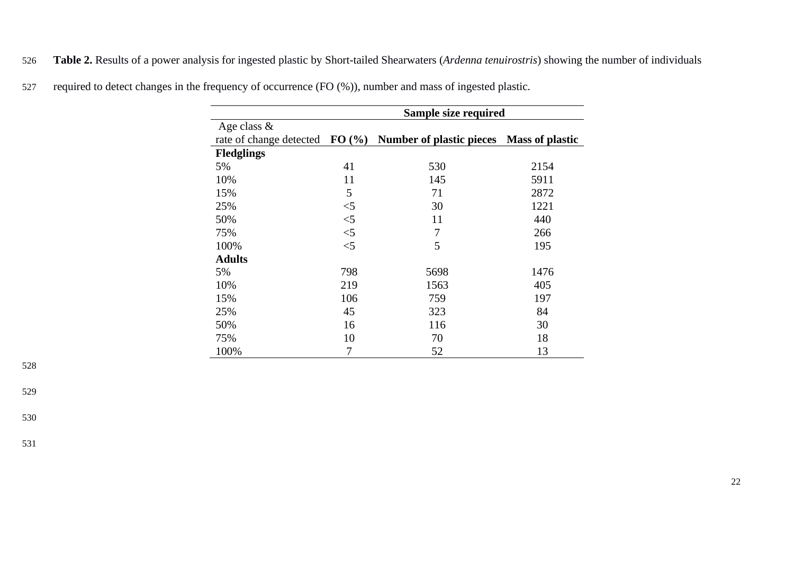526 **Table 2.** Results of a power analysis for ingested plastic by Short-tailed Shearwaters (*Ardenna tenuirostris*) showing the number of individuals

|                         |       | Sample size required                     |      |
|-------------------------|-------|------------------------------------------|------|
| Age class $\&$          |       |                                          |      |
| rate of change detected | FO(%  | Number of plastic pieces Mass of plastic |      |
| <b>Fledglings</b>       |       |                                          |      |
| 5%                      | 41    | 530                                      | 2154 |
| 10%                     | 11    | 145                                      | 5911 |
| 15%                     | 5     | 71                                       | 2872 |
| 25%                     | $<$ 5 | 30                                       | 1221 |
| 50%                     | $<$ 5 | 11                                       | 440  |
| 75%                     | $<$ 5 | 7                                        | 266  |
| 100%                    | $<$ 5 | 5                                        | 195  |
| <b>Adults</b>           |       |                                          |      |
| 5%                      | 798   | 5698                                     | 1476 |
| 10%                     | 219   | 1563                                     | 405  |
| 15%                     | 106   | 759                                      | 197  |
| 25%                     | 45    | 323                                      | 84   |
| 50%                     | 16    | 116                                      | 30   |
| 75%                     | 10    | 70                                       | 18   |
| 100%                    | 7     | 52                                       | 13   |

527 required to detect changes in the frequency of occurrence (FO (%)), number and mass of ingested plastic.

529

530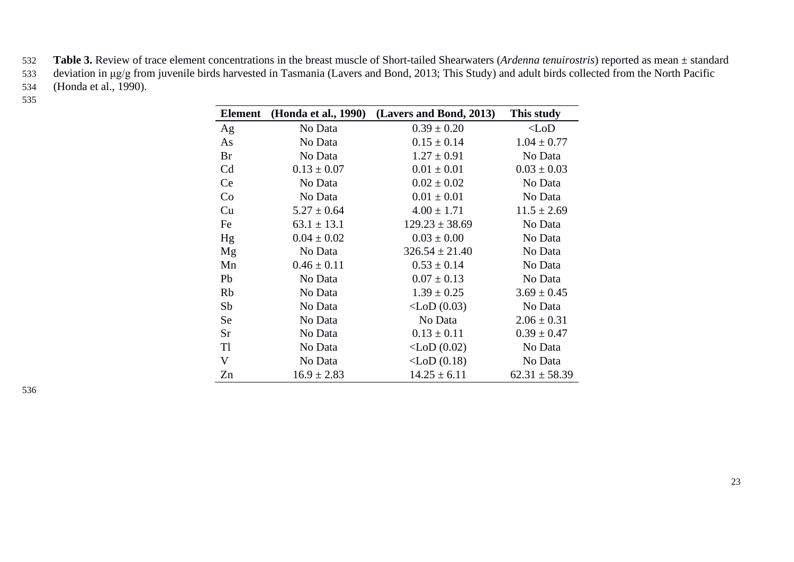- 532 **Table 3.** Review of trace element concentrations in the breast muscle of Short-tailed Shearwaters (*Ardenna tenuirostris*) reported as mean ± standard 533 deviation in μg/g from juvenile birds harvested in Tasmania [\(Lavers and Bond, 2013; This Study\)](#page-15-12) and adult birds collected from the North Pacific 534 [\(Honda et al., 1990\)](#page-14-12).
- 535

| <b>Element</b>            | (Honda et al., 1990) | (Lavers and Bond, 2013) | This study        |
|---------------------------|----------------------|-------------------------|-------------------|
| Ag                        | No Data              | $0.39 \pm 0.20$         | $<$ LoD           |
| As                        | No Data              | $0.15 \pm 0.14$         | $1.04 \pm 0.77$   |
| <b>Br</b>                 | No Data              | $1.27 \pm 0.91$         | No Data           |
| Cd                        | $0.13 \pm 0.07$      | $0.01 \pm 0.01$         | $0.03 \pm 0.03$   |
| Ce                        | No Data              | $0.02 \pm 0.02$         | No Data           |
| Co                        | No Data              | $0.01 \pm 0.01$         | No Data           |
| Cu                        | $5.27 \pm 0.64$      | $4.00 \pm 1.71$         | $11.5 \pm 2.69$   |
| Fe                        | $63.1 \pm 13.1$      | $129.23 \pm 38.69$      | No Data           |
| Hg                        | $0.04 \pm 0.02$      | $0.03 \pm 0.00$         | No Data           |
| Mg                        | No Data              | $326.54 \pm 21.40$      | No Data           |
| Mn                        | $0.46 \pm 0.11$      | $0.53 \pm 0.14$         | No Data           |
| Pb                        | No Data              | $0.07 \pm 0.13$         | No Data           |
| <b>Rb</b>                 | No Data              | $1.39 \pm 0.25$         | $3.69 \pm 0.45$   |
| Sb                        | No Data              | $\langle$ LoD (0.03)    | No Data           |
| Se                        | No Data              | No Data                 | $2.06 \pm 0.31$   |
| Sr                        | No Data              | $0.13 \pm 0.11$         | $0.39 \pm 0.47$   |
| Tl                        | No Data              | $\langle$ LoD (0.02)    | No Data           |
| $\boldsymbol{\mathrm{V}}$ | No Data              | $\langle$ LoD $(0.18)$  | No Data           |
| Zn                        | $16.9 \pm 2.83$      | $14.25 \pm 6.11$        | $62.31 \pm 58.39$ |